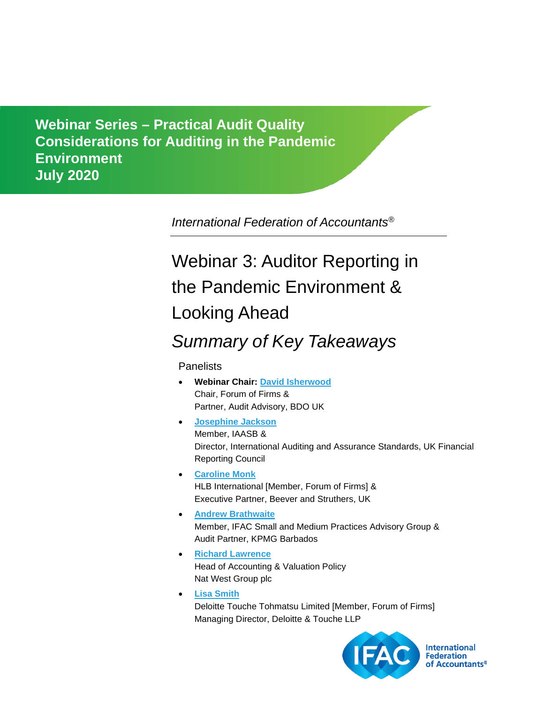**Considerations for Auditing in the Pandemic Environment** *Comments due: February 29, 2012* **July 2020Webinar Series – Practical Audit Quality** 

*International Federation of Accountants®*

# Webinar 3: Auditor Reporting in the Pandemic Environment & Looking Ahead

## *Summary of Key Takeaways*

**Panelists** 

- **Webinar Chair: [David Isherwood](https://www.ifac.org/who-we-are/leadership/david-isherwood)** Chair, Forum of Firms & Partner, Audit Advisory, BDO UK
- **[Josephine Jackson](https://www.ifac.org/bio/josephine-jackson-0)** Member, IAASB & Director, International Auditing and Assurance Standards, UK Financial Reporting Council
- **[Caroline Monk](http://www.beeverstruthers.co.uk/aboutus/caroline-monk)** HLB International [Member, Forum of Firms] & Executive Partner, Beever and Struthers, UK
- **[Andrew Brathwaite](https://www.ifac.org/bio/andrew-brathwaite)** Member, IFAC Small and Medium Practices Advisory Group & Audit Partner, KPMG Barbados
- **[Richard Lawrence](https://uk.linkedin.com/in/richardjlawrence?challengeId=AQHpXBT6cm5f6AAAAXLOKftgnGTgiLRdtZT3JhHppzGiOW_HRXnwYmfyEqDzDg5bZm2yE8oqr7IvJAyt40B-_SyyYs4mxfPbIA&submissionId=be4743fe-4f0a-1a16-aff3-5e28b9855802)** Head of Accounting & Valuation Policy Nat West Group plc
- **[Lisa Smith](https://www.linkedin.com/in/lisa-smith-57282984?challengeId=AQFyfPg85CqhzAAAAXLhtwJBZaVM6XpzILd5_Th6SIESDVW65q7ylgEI4lj6Mp71MtmqaVnGdbOJTFYRX2OuhBAgCAj2yQAaAQ&submissionId=1980b1ad-a234-1b16-6ae9-9cc48102c308)** Deloitte Touche Tohmatsu Limited [Member, Forum of Firms] Managing Director, Deloitte & Touche LLP



**International Federation** of Accountants®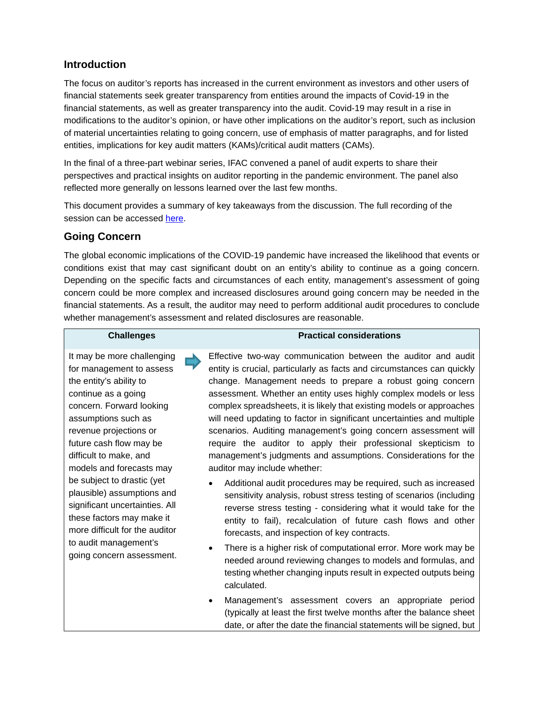### **Introduction**

The focus on auditor's reports has increased in the current environment as investors and other users of financial statements seek greater transparency from entities around the impacts of Covid-19 in the financial statements, as well as greater transparency into the audit. Covid-19 may result in a rise in modifications to the auditor's opinion, or have other implications on the auditor's report, such as inclusion of material uncertainties relating to going concern, use of emphasis of matter paragraphs, and for listed entities, implications for key audit matters (KAMs)/critical audit matters (CAMs).

In the final of a three-part webinar series, IFAC convened a panel of audit experts to share their perspectives and practical insights on auditor reporting in the pandemic environment. The panel also reflected more generally on lessons learned over the last few months.

This document provides a summary of key takeaways from the discussion. The full recording of the session can be accessed [here.](https://www.ifac.org/knowledge-gateway/supporting-international-standards/discussion/webinar-series-practical-audit-quality-considerations-webinar-3-auditor-reporting-pandemic)

## **Going Concern**

The global economic implications of the COVID-19 pandemic have increased the likelihood that events or conditions exist that may cast significant doubt on an entity's ability to continue as a going concern. Depending on the specific facts and circumstances of each entity, management's assessment of going concern could be more complex and increased disclosures around going concern may be needed in the financial statements. As a result, the auditor may need to perform additional audit procedures to conclude whether management's assessment and related disclosures are reasonable.

#### **Challenges Practical considerations**

It may be more challenging for management to assess the entity's ability to continue as a going concern. Forward looking assumptions such as revenue projections or future cash flow may be difficult to make, and models and forecasts may be subject to drastic (yet plausible) assumptions and significant uncertainties. All these factors may make it more difficult for the auditor to audit management's going concern assessment. Effective two-way communication between the auditor and audit entity is crucial, particularly as facts and circumstances can quickly change. Management needs to prepare a robust going concern assessment. Whether an entity uses highly complex models or less complex spreadsheets, it is likely that existing models or approaches will need updating to factor in significant uncertainties and multiple scenarios. Auditing management's going concern assessment will require the auditor to apply their professional skepticism to management's judgments and assumptions. Considerations for the auditor may include whether:

- Additional audit procedures may be required, such as increased sensitivity analysis, robust stress testing of scenarios (including reverse stress testing - considering what it would take for the entity to fail), recalculation of future cash flows and other forecasts, and inspection of key contracts.
- There is a higher risk of computational error. More work may be needed around reviewing changes to models and formulas, and testing whether changing inputs result in expected outputs being calculated.
- Management's assessment covers an appropriate period (typically at least the first twelve months after the balance sheet date, or after the date the financial statements will be signed, but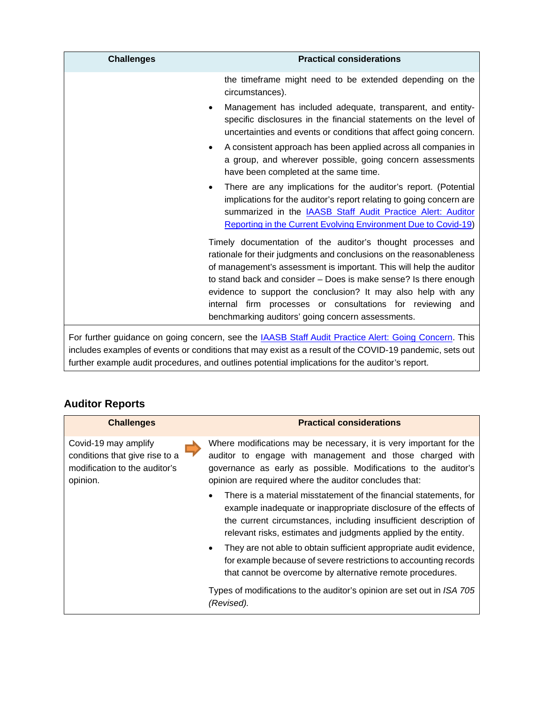| <b>Challenges</b>                                                                            | <b>Practical considerations</b>                                                                                                                                                                                                                                                                                                                                                                                                                                   |
|----------------------------------------------------------------------------------------------|-------------------------------------------------------------------------------------------------------------------------------------------------------------------------------------------------------------------------------------------------------------------------------------------------------------------------------------------------------------------------------------------------------------------------------------------------------------------|
|                                                                                              | the timeframe might need to be extended depending on the<br>circumstances).                                                                                                                                                                                                                                                                                                                                                                                       |
| ٠                                                                                            | Management has included adequate, transparent, and entity-<br>specific disclosures in the financial statements on the level of<br>uncertainties and events or conditions that affect going concern.                                                                                                                                                                                                                                                               |
| $\bullet$                                                                                    | A consistent approach has been applied across all companies in<br>a group, and wherever possible, going concern assessments<br>have been completed at the same time.                                                                                                                                                                                                                                                                                              |
| ٠                                                                                            | There are any implications for the auditor's report. (Potential<br>implications for the auditor's report relating to going concern are<br>summarized in the <b>IAASB Staff Audit Practice Alert: Auditor</b><br><b>Reporting in the Current Evolving Environment Due to Covid-19)</b>                                                                                                                                                                             |
|                                                                                              | Timely documentation of the auditor's thought processes and<br>rationale for their judgments and conclusions on the reasonableness<br>of management's assessment is important. This will help the auditor<br>to stand back and consider - Does is make sense? Is there enough<br>evidence to support the conclusion? It may also help with any<br>internal firm processes or consultations for reviewing and<br>benchmarking auditors' going concern assessments. |
| Far further auidence<br>ng sepasyon ang the IAACD Ctoff Audit Dresting Alerty Ceing Conserve |                                                                                                                                                                                                                                                                                                                                                                                                                                                                   |

For further guidance on going concern, see the **IAASB Staff Audit Practice Alert: Going Concern**. This includes examples of events or conditions that may exist as a result of the COVID-19 pandemic, sets out further example audit procedures, and outlines potential implications for the auditor's report.

## **Auditor Reports**

| <b>Challenges</b>                                                                                   | <b>Practical considerations</b>                                                                                                                                                                                                                                                  |
|-----------------------------------------------------------------------------------------------------|----------------------------------------------------------------------------------------------------------------------------------------------------------------------------------------------------------------------------------------------------------------------------------|
| Covid-19 may amplify<br>conditions that give rise to a<br>modification to the auditor's<br>opinion. | Where modifications may be necessary, it is very important for the<br>auditor to engage with management and those charged with<br>governance as early as possible. Modifications to the auditor's<br>opinion are required where the auditor concludes that:                      |
|                                                                                                     | There is a material misstatement of the financial statements, for<br>٠<br>example inadequate or inappropriate disclosure of the effects of<br>the current circumstances, including insufficient description of<br>relevant risks, estimates and judgments applied by the entity. |
|                                                                                                     | They are not able to obtain sufficient appropriate audit evidence,<br>$\bullet$<br>for example because of severe restrictions to accounting records<br>that cannot be overcome by alternative remote procedures.                                                                 |
|                                                                                                     | Types of modifications to the auditor's opinion are set out in ISA 705<br>(Revised).                                                                                                                                                                                             |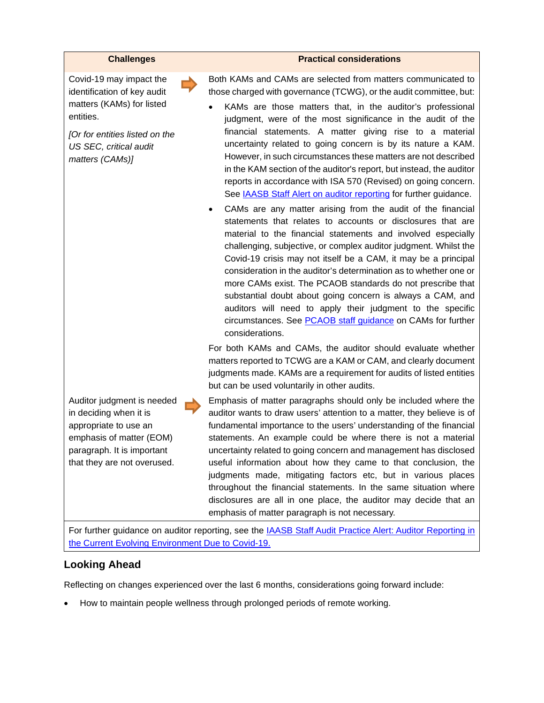#### **Challenges Practical considerations**

Covid-19 may impact the identification of key audit matters (KAMs) for listed entities.

*[Or for entities listed on the US SEC, critical audit matters (CAMs)]*

Auditor judgment is needed in deciding when it is appropriate to use an emphasis of matter (EOM) paragraph. It is important that they are not overused.

Both KAMs and CAMs are selected from matters communicated to those charged with governance (TCWG), or the audit committee, but:

- KAMs are those matters that, in the auditor's professional judgment, were of the most significance in the audit of the financial statements. A matter giving rise to a material uncertainty related to going concern is by its nature a KAM. However, in such circumstances these matters are not described in the KAM section of the auditor's report, but instead, the auditor reports in accordance with ISA 570 (Revised) on going concern. See [IAASB Staff Alert on auditor reporting](https://www.iaasb.org/publications/auditor-reporting-current-evolving-environment-due-covid-19) for further guidance.
- CAMs are any matter arising from the audit of the financial statements that relates to accounts or disclosures that are material to the financial statements and involved especially challenging, subjective, or complex auditor judgment. Whilst the Covid-19 crisis may not itself be a CAM, it may be a principal consideration in the auditor's determination as to whether one or more CAMs exist. The PCAOB standards do not prescribe that substantial doubt about going concern is always a CAM, and auditors will need to apply their judgment to the specific circumstances. See [PCAOB staff guidance](https://pcaobus.org/Standards/Documents/Implementation-Critical-Audit-Matters-Deeper-Dive-Communication-of-CAMs.pdf) on CAMs for further considerations.

For both KAMs and CAMs, the auditor should evaluate whether matters reported to TCWG are a KAM or CAM, and clearly document judgments made. KAMs are a requirement for audits of listed entities but can be used voluntarily in other audits.

Emphasis of matter paragraphs should only be included where the auditor wants to draw users' attention to a matter, they believe is of fundamental importance to the users' understanding of the financial statements. An example could be where there is not a material uncertainty related to going concern and management has disclosed useful information about how they came to that conclusion, the judgments made, mitigating factors etc, but in various places throughout the financial statements. In the same situation where disclosures are all in one place, the auditor may decide that an emphasis of matter paragraph is not necessary.

For further guidance on auditor reporting, see the **IAASB Staff Audit Practice Alert: Auditor Reporting in** [the Current Evolving Environment Due to Covid-19.](https://www.iaasb.org/publications/auditor-reporting-current-evolving-environment-due-covid-19)

#### **Looking Ahead**

Reflecting on changes experienced over the last 6 months, considerations going forward include:

• How to maintain people wellness through prolonged periods of remote working.